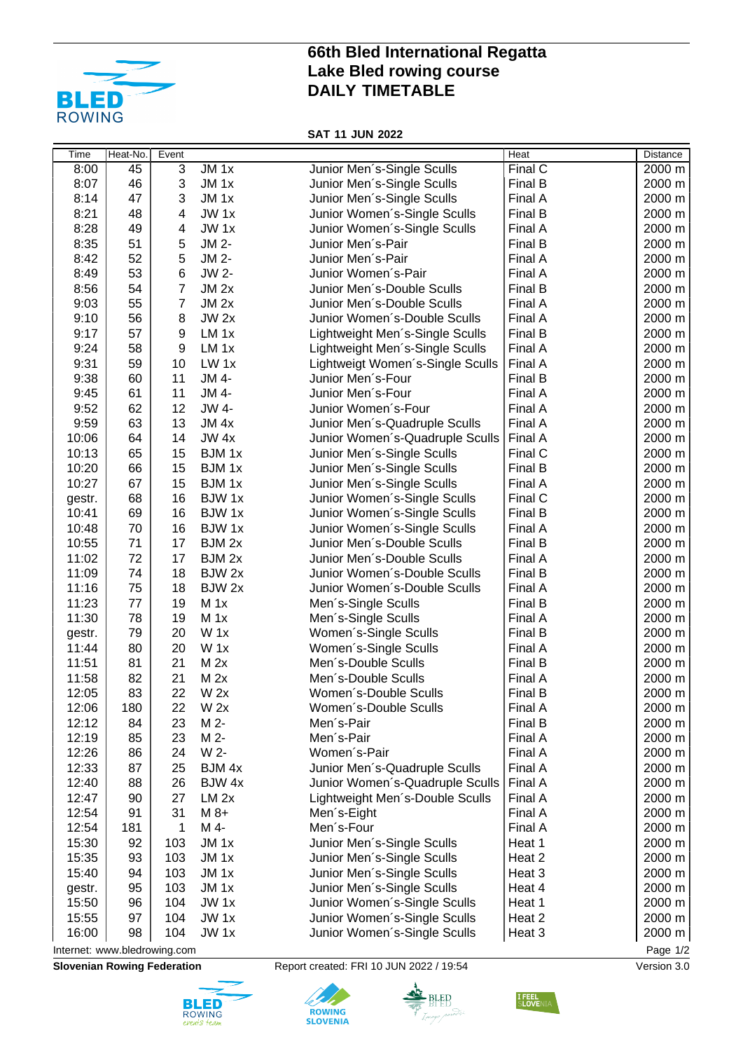

## **66th Bled International Regatta Lake Bled rowing course DAILY TIMETABLE**

**SAT 11 JUN 2022**

| Time                                     | Heat-No. | Event          |                  |                                              | Heat    | <b>Distance</b> |  |  |  |
|------------------------------------------|----------|----------------|------------------|----------------------------------------------|---------|-----------------|--|--|--|
| 8:00                                     | 45       | $\overline{3}$ | $JM_1x$          | Junior Men's-Single Sculls                   | Final C | 2000 m          |  |  |  |
| 8:07                                     | 46       | 3              | JM <sub>1x</sub> | Junior Men's-Single Sculls                   | Final B | 2000 m          |  |  |  |
| 8:14                                     | 47       | 3              | JM <sub>1x</sub> | Junior Men's-Single Sculls                   | Final A | 2000 m          |  |  |  |
| 8:21                                     | 48       | 4              | JW <sub>1x</sub> | Junior Women's-Single Sculls                 | Final B | 2000 m          |  |  |  |
| 8:28                                     | 49       | 4              | JW <sub>1x</sub> | Junior Women's-Single Sculls                 | Final A | 2000 m          |  |  |  |
| 8:35                                     | 51       | 5              | JM 2-            | Junior Men's-Pair                            | Final B | 2000 m          |  |  |  |
| 8:42                                     | 52       | 5              | JM 2-            | Junior Men's-Pair                            | Final A | 2000 m          |  |  |  |
| 8:49                                     | 53       | 6              | JW 2-            | Junior Women's-Pair                          | Final A | 2000 m          |  |  |  |
| 8:56                                     | 54       | $\overline{7}$ | JM <sub>2x</sub> | Junior Men's-Double Sculls                   | Final B | 2000 m          |  |  |  |
| 9:03                                     | 55       | $\overline{7}$ | $JM$ 2x          | Junior Men's-Double Sculls                   | Final A | 2000 m          |  |  |  |
| 9:10                                     | 56       | 8              | $JW$ 2x          | Junior Women's-Double Sculls                 | Final A | 2000 m          |  |  |  |
| 9:17                                     | 57       | 9              | LM <sub>1x</sub> | Lightweight Men's-Single Sculls              | Final B | 2000 m          |  |  |  |
| 9:24                                     | 58       | 9              | LM <sub>1x</sub> | Lightweight Men's-Single Sculls              | Final A | 2000 m          |  |  |  |
| 9:31                                     | 59       | 10             | LW <sub>1x</sub> | Lightweigt Women's-Single Sculls             | Final A | 2000 m          |  |  |  |
| 9:38                                     | 60       | 11             | JM 4-            | Junior Men's-Four                            | Final B | 2000 m          |  |  |  |
| 9:45                                     | 61       | 11             | JM 4-            | Junior Men's-Four                            | Final A | 2000 m          |  |  |  |
| 9:52                                     | 62       | 12             | JW 4-            | Junior Women's-Four                          | Final A | 2000 m          |  |  |  |
| 9:59                                     | 63       | 13             | JM <sub>4x</sub> | Junior Men's-Quadruple Sculls                | Final A | 2000 m          |  |  |  |
| 10:06                                    | 64       | 14             | $JW$ 4x          | Junior Women's-Quadruple Sculls              | Final A | 2000 m          |  |  |  |
| 10:13                                    | 65       | 15             | BJM 1x           | Junior Men's-Single Sculls                   | Final C | 2000 m          |  |  |  |
| 10:20                                    | 66       | 15             | BJM 1x           | Junior Men's-Single Sculls                   | Final B | 2000 m          |  |  |  |
| 10:27                                    | 67       | 15             | BJM 1x           | Junior Men's-Single Sculls                   | Final A | 2000 m          |  |  |  |
| gestr.                                   | 68       | 16             | BJW 1x           | Junior Women's-Single Sculls                 | Final C | 2000 m          |  |  |  |
| 10:41                                    | 69       | 16             | BJW 1x           | Junior Women's-Single Sculls                 | Final B | 2000 m          |  |  |  |
| 10:48                                    | 70       | 16             | BJW 1x           | Junior Women's-Single Sculls                 | Final A | 2000 m          |  |  |  |
| 10:55                                    | 71       | 17             | BJM 2x           | Junior Men's-Double Sculls                   | Final B | 2000 m          |  |  |  |
| 11:02                                    | 72       | 17             | BJM 2x           | Junior Men's-Double Sculls                   | Final A | 2000 m          |  |  |  |
| 11:09                                    | 74       | 18             | BJW 2x           | Junior Women's-Double Sculls                 | Final B | 2000 m          |  |  |  |
| 11:16                                    | 75       | 18             | BJW 2x           | Junior Women's-Double Sculls                 | Final A | 2000 m          |  |  |  |
| 11:23                                    | 77       | 19             | $M_1x$           | Men's-Single Sculls                          | Final B | 2000 m          |  |  |  |
| 11:30                                    | 78       | 19             | $M_1x$           |                                              | Final A | 2000 m          |  |  |  |
|                                          | 79       | 20             | W <sub>1x</sub>  | Men's-Single Sculls                          | Final B | 2000 m          |  |  |  |
| gestr.                                   | 80       | 20             | $W_1x$           | Women's-Single Sculls                        | Final A | 2000 m          |  |  |  |
| 11:44                                    |          |                |                  | Women's-Single Sculls<br>Men's-Double Sculls |         | 2000 m          |  |  |  |
| 11:51                                    | 81       | 21             | M 2x             |                                              | Final B |                 |  |  |  |
| 11:58                                    | 82       | 21             | M 2x             | Men's-Double Sculls                          | Final A | 2000 m          |  |  |  |
| 12:05                                    | 83       | 22             | $W$ 2x           | Women's-Double Sculls                        | Final B | 2000 m          |  |  |  |
| 12:06                                    | 180      | 22             | W <sub>2x</sub>  | Women's-Double Sculls                        | Final A | 2000 m          |  |  |  |
| 12:12                                    | 84       | 23             | M 2-             | Men's-Pair                                   | Final B | 2000 m          |  |  |  |
| 12:19                                    | 85       | 23             | M 2-             | Men's-Pair                                   | Final A | 2000 m          |  |  |  |
| 12:26                                    | 86       | 24             | W 2-             | Women's-Pair                                 | Final A | 2000 m          |  |  |  |
| 12:33                                    | 87       | 25             | BJM 4x           | Junior Men's-Quadruple Sculls                | Final A | 2000 m          |  |  |  |
| 12:40                                    | 88       | 26             | BJW 4x           | Junior Women's-Quadruple Sculls   Final A    |         | 2000 m          |  |  |  |
| 12:47                                    | 90       | 27             | $LM$ $2x$        | Lightweight Men's-Double Sculls              | Final A | 2000 m          |  |  |  |
| 12:54                                    | 91       | 31             | $M8+$            | Men's-Eight                                  | Final A | 2000 m          |  |  |  |
| 12:54                                    | 181      | 1              | M 4-             | Men's-Four                                   | Final A | 2000 m          |  |  |  |
| 15:30                                    | 92       | 103            | JM 1x            | Junior Men's-Single Sculls                   | Heat 1  | 2000 m          |  |  |  |
| 15:35                                    | 93       | 103            | JM 1x            | Junior Men's-Single Sculls                   | Heat 2  | 2000 m          |  |  |  |
| 15:40                                    | 94       | 103            | JM 1x            | Junior Men's-Single Sculls                   | Heat 3  | 2000 m          |  |  |  |
| gestr.                                   | 95       | 103            | JM 1x            | Junior Men's-Single Sculls                   | Heat 4  | 2000 m          |  |  |  |
| 15:50                                    | 96       | 104            | JW 1x            | Junior Women's-Single Sculls                 | Heat 1  | 2000 m          |  |  |  |
| 15:55                                    | 97       | 104            | JW 1x            | Junior Women's-Single Sculls                 | Heat 2  | 2000 m          |  |  |  |
| 16:00                                    | 98       | 104            | JW 1x            | Junior Women's-Single Sculls                 | Heat 3  | 2000 m          |  |  |  |
| Page 1/2<br>Internet: www.bledrowing.com |          |                |                  |                                              |         |                 |  |  |  |

**Slovenian Rowing Federation** Report created: FRI 10 JUN 2022 / 19:54 Version 3.0